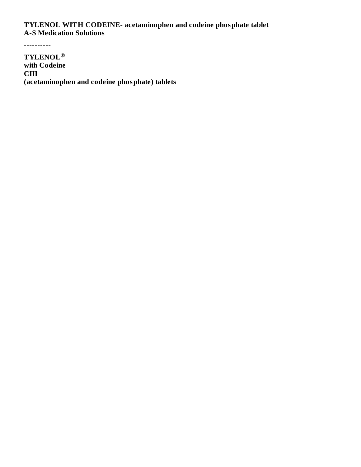#### **TYLENOL WITH CODEINE- acetaminophen and codeine phosphate tablet A-S Medication Solutions**

----------

**TYLENOL ®with Codeine CIII (acetaminophen and codeine phosphate) tablets**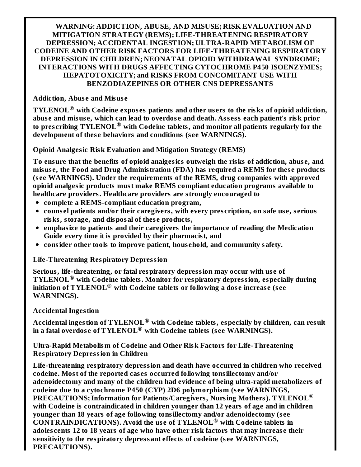#### **WARNING: ADDICTION, ABUSE, AND MISUSE; RISK EVALUATION AND MITIGATION STRATEGY (REMS); LIFE-THREATENING RESPIRATORY DEPRESSION; ACCIDENTAL INGESTION; ULTRA-RAPID METABOLISM OF CODEINE AND OTHER RISK FACTORS FOR LIFE-THREATENING RESPIRATORY DEPRESSION IN CHILDREN; NEONATAL OPIOID WITHDRAWAL SYNDROME; INTERACTIONS WITH DRUGS AFFECTING CYTOCHROME P450 ISOENZYMES; HEPATOTOXICITY; and RISKS FROM CONCOMITANT USE WITH BENZODIAZEPINES OR OTHER CNS DEPRESSANTS**

#### **Addiction, Abus e and Misus e**

**TYLENOL with Codeine expos es patients and other us ers to the risks of opioid addiction, ®** abuse and misuse, which can lead to overdose and death. Assess each patient's risk prior **to pres cribing TYLENOL with Codeine tablets, and monitor all patients regularly for the ® development of thes e behaviors and conditions (s ee WARNINGS).**

**Opioid Analgesic Risk Evaluation and Mitigation Strategy (REMS)**

**To ensure that the benefits of opioid analgesics outweigh the risks of addiction, abus e, and misus e, the Food and Drug Administration (FDA) has required a REMS for thes e products (s ee WARNINGS). Under the requirements of the REMS, drug companies with approved opioid analgesic products must make REMS compliant education programs available to healthcare providers. Healthcare providers are strongly encouraged to**

- **complete a REMS-compliant education program,**
- **couns el patients and/or their caregivers, with every pres cription, on safe us e, s erious risks, storage, and disposal of thes e products,**
- **emphasize to patients and their caregivers the importance of reading the Medication Guide every time it is provided by their pharmacist, and**
- **consider other tools to improve patient, hous ehold, and community safety.**

**Life-Threatening Respiratory Depression**

**Serious, life-threatening, or fatal respiratory depression may occur with us e of TYLENOL with Codeine tablets. Monitor for respiratory depression, especially during ® initiation of TYLENOL with Codeine tablets or following a dos e increas e (s ee ® WARNINGS).**

**Accidental Ingestion**

**Accidental ingestion of TYLENOL with Codeine tablets, especially by children, can result ® in a fatal overdos e of TYLENOL with Codeine tablets (s ee WARNINGS). ®**

**Ultra-Rapid Metabolism of Codeine and Other Risk Factors for Life-Threatening Respiratory Depression in Children**

**Life-threatening respiratory depression and death have occurred in children who received codeine. Most of the reported cas es occurred following tonsillectomy and/or adenoidectomy and many of the children had evidence of being ultra-rapid metabolizers of codeine due to a cytochrome P450 (CYP) 2D6 polymorphism (s ee WARNINGS, PRECAUTIONS;Information for Patients/Caregivers, Nursing Mothers). TYLENOL ® with Codeine is contraindicated in children younger than 12 years of age and in children younger than 18 years of age following tonsillectomy and/or adenoidectomy (s ee CONTRAINDICATIONS). Avoid the us e of TYLENOL with Codeine tablets in ®adoles cents 12 to 18 years of age who have other risk factors that may increas e their s ensitivity to the respiratory depressant effects of codeine (s ee WARNINGS, PRECAUTIONS).**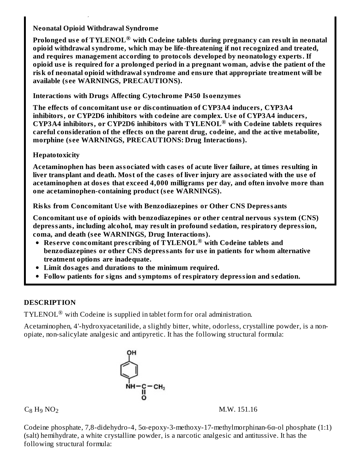#### **Neonatal Opioid Withdrawal Syndrome**

**Prolonged us e of TYLENOL with Codeine tablets during pregnancy can result in neonatal ® opioid withdrawal syndrome, which may be life-threatening if not recognized and treated, and requires management according to protocols developed by neonatology experts. If** opioid use is required for a prolonged period in a pregnant woman, advise the patient of the **risk of neonatal opioid withdrawal syndrome and ensure that appropriate treatment will be available (s ee WARNINGS, PRECAUTIONS).**

**Interactions with Drugs Affecting Cytochrome P450 Isoenzymes**

**The effects of concomitant us e or dis continuation of CYP3A4 inducers, CYP3A4 inhibitors, or CYP2D6 inhibitors with codeine are complex. Us e of CYP3A4 inducers, CYP3A4 inhibitors, or CYP2D6 inhibitors with TYLENOL with Codeine tablets requires ® careful consideration of the effects on the parent drug, codeine, and the active metabolite, morphine (s ee WARNINGS, PRECAUTIONS: Drug Interactions).**

#### **Hepatotoxicity**

**PRECAUTIONS** 

**Acetaminophen has been associated with cas es of acute liver failure, at times resulting in** liver transplant and death. Most of the cases of liver injury are associated with the use of **acetaminophen at dos es that exceed 4,000 milligrams per day, and often involve more than one acetaminophen-containing product (s ee WARNINGS).**

**Risks from Concomitant Us e with Benzodiazepines or Other CNS Depressants**

**Concomitant us e of opioids with benzodiazepines or other central nervous system (CNS) depressants, including alcohol, may result in profound s edation, respiratory depression, coma, and death (s ee WARNINGS, Drug Interactions).**

- **Res erve concomitant pres cribing of TYLENOL with Codeine tablets and ® benzodiazepines or other CNS depressants for us e in patients for whom alternative treatment options are inadequate.**
- **Limit dosages and durations to the minimum required.**
- **Follow patients for signs and symptoms of respiratory depression and s edation.**

#### **DESCRIPTION**

 $\text{TYLENOL}^{\circledR}$  with Codeine is supplied in tablet form for oral administration.

Acetaminophen, 4'-hydroxyacetanilide, a slightly bitter, white, odorless, crystalline powder, is a nonopiate, non-salicylate analgesic and antipyretic. It has the following structural formula:



 $C_8$  H<sub>9</sub> NO<sub>2</sub>

#### M.W. 151.16

Codeine phosphate, 7,8-didehydro-4, 5α-epoxy-3-methoxy-17-methylmorphinan-6α-ol phosphate (1:1) (salt) hemihydrate, a white crystalline powder, is a narcotic analgesic and antitussive. It has the following structural formula: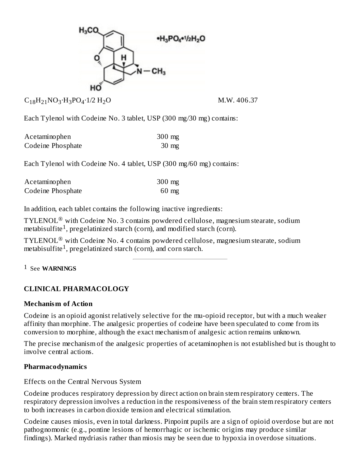

 $C_{18}H_{21}NO_3 \cdot H_3PO_4 \cdot 1/2 H_2O$  M.W. 406.37

Each Tylenol with Codeine No. 3 tablet, USP (300 mg/30 mg) contains:

| Acetaminophen     | $300$ mg        |
|-------------------|-----------------|
| Codeine Phosphate | $30 \text{ mg}$ |

Each Tylenol with Codeine No. 4 tablet, USP (300 mg/60 mg) contains:

| Acetaminophen     | $300$ mg        |
|-------------------|-----------------|
| Codeine Phosphate | $60 \text{ mg}$ |

In addition, each tablet contains the following inactive ingredients:

 $\text{TYLENOL}^{\circledR}$  with Codeine No. 3 contains powdered cellulose, magnesium stearate, sodium metabisulfite<sup>1</sup>, pregelatinized starch (corn), and modified starch (corn).

 $\text{TYLENOL}^{\circledR}$  with Codeine No. 4 contains powdered cellulose, magnesium stearate, sodium metabisulfite $^1$ , pregelatinized starch (corn), and corn starch.

1 See **WARNINGS**

#### **CLINICAL PHARMACOLOGY**

#### **Mechanism of Action**

Codeine is an opioid agonist relatively selective for the mu-opioid receptor, but with a much weaker affinity than morphine. The analgesic properties of codeine have been speculated to come from its conversion to morphine, although the exact mechanism of analgesic action remains unknown.

The precise mechanism of the analgesic properties of acetaminophen is not established but is thought to involve central actions.

#### **Pharmacodynamics**

Effects on the Central Nervous System

Codeine produces respiratory depression by direct action on brain stem respiratory centers. The respiratory depression involves a reduction in the responsiveness of the brain stem respiratory centers to both increases in carbon dioxide tension and electrical stimulation.

Codeine causes miosis, even in total darkness. Pinpoint pupils are a sign of opioid overdose but are not pathognomonic (e.g., pontine lesions of hemorrhagic or ischemic origins may produce similar findings). Marked mydriasis rather than miosis may be seen due to hypoxia in overdose situations.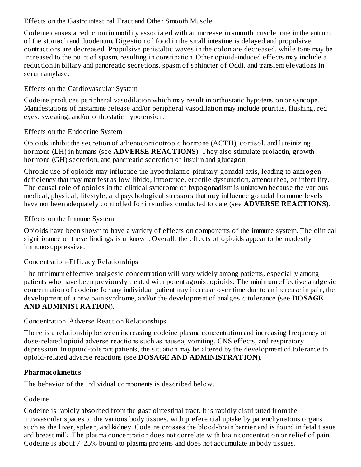#### Effects on the Gastrointestinal Tract and Other Smooth Muscle

Codeine causes a reduction in motility associated with an increase in smooth muscle tone in the antrum of the stomach and duodenum. Digestion of food in the small intestine is delayed and propulsive contractions are decreased. Propulsive peristaltic waves in the colon are decreased, while tone may be increased to the point of spasm, resulting in constipation. Other opioid-induced effects may include a reduction in biliary and pancreatic secretions, spasm of sphincter of Oddi, and transient elevations in serum amylase.

### Effects on the Cardiovascular System

Codeine produces peripheral vasodilation which may result in orthostatic hypotension or syncope. Manifestations of histamine release and/or peripheral vasodilation may include pruritus, flushing, red eyes, sweating, and/or orthostatic hypotension.

### Effects on the Endocrine System

Opioids inhibit the secretion of adrenocorticotropic hormone (ACTH), cortisol, and luteinizing hormone (LH) in humans (see **ADVERSE REACTIONS**). They also stimulate prolactin, growth hormone (GH) secretion, and pancreatic secretion of insulin and glucagon.

Chronic use of opioids may influence the hypothalamic-pituitary-gonadal axis, leading to androgen deficiency that may manifest as low libido, impotence, erectile dysfunction, amenorrhea, or infertility. The causal role of opioids in the clinical syndrome of hypogonadism is unknown because the various medical, physical, lifestyle, and psychological stressors that may influence gonadal hormone levels have not been adequately controlled for in studies conducted to date (see **ADVERSE REACTIONS)**.

### Effects on the Immune System

Opioids have been shown to have a variety of effects on components of the immune system. The clinical significance of these findings is unknown. Overall, the effects of opioids appear to be modestly immunosuppressive.

### Concentration–Efficacy Relationships

The minimum effective analgesic concentration will vary widely among patients, especially among patients who have been previously treated with potent agonist opioids. The minimum effective analgesic concentration of codeine for any individual patient may increase over time due to an increase in pain, the development of a new pain syndrome, and/or the development of analgesic tolerance (see **DOSAGE AND ADMINISTRATION**).

### Concentration–Adverse Reaction Relationships

There is a relationship between increasing codeine plasma concentration and increasing frequency of dose-related opioid adverse reactions such as nausea, vomiting, CNS effects, and respiratory depression. In opioid-tolerant patients, the situation may be altered by the development of tolerance to opioid-related adverse reactions (see **DOSAGE AND ADMINISTRATION**).

### **Pharmacokinetics**

The behavior of the individual components is described below.

### Codeine

Codeine is rapidly absorbed from the gastrointestinal tract. It is rapidly distributed from the intravascular spaces to the various body tissues, with preferential uptake by parenchymatous organs such as the liver, spleen, and kidney. Codeine crosses the blood-brain barrier and is found in fetal tissue and breast milk. The plasma concentration does not correlate with brain concentration or relief of pain. Codeine is about 7–25% bound to plasma proteins and does not accumulate in body tissues.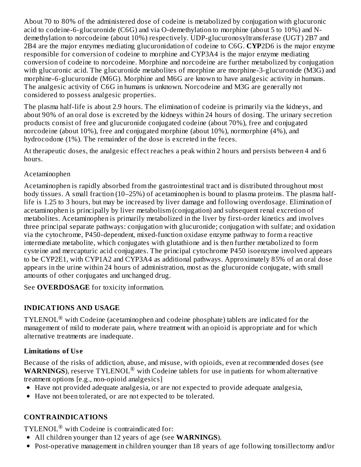About 70 to 80% of the administered dose of codeine is metabolized by conjugation with glucuronic acid to codeine-6-glucuronide (C6G) and via O-demethylation to morphine (about 5 to 10%) and Ndemethylation to norcodeine (about 10%) respectively. UDP-glucuronosyltransferase (UGT) 2B7 and 2B4 are the major enzymes mediating glucuronidation of codeine to C6G. **CYP**2D6 is the major enzyme responsible for conversion of codeine to morphine and CYP3A4 is the major enzyme mediating conversion of codeine to norcodeine. Morphine and norcodeine are further metabolized by conjugation with glucuronic acid. The glucuronide metabolites of morphine are morphine-3-glucuronide (M3G) and morphine-6-glucuronide (M6G). Morphine and M6G are known to have analgesic activity in humans. The analgesic activity of C6G in humans is unknown. Norcodeine and M3G are generally not considered to possess analgesic properties.

The plasma half-life is about 2.9 hours. The elimination of codeine is primarily via the kidneys, and about 90% of an oral dose is excreted by the kidneys within 24 hours of dosing. The urinary secretion products consist of free and glucuronide conjugated codeine (about 70%), free and conjugated norcodeine (about 10%), free and conjugated morphine (about 10%), normorphine (4%), and hydrocodone (1%). The remainder of the dose is excreted in the feces.

At therapeutic doses, the analgesic effect reaches a peak within 2 hours and persists between 4 and 6 hours.

#### Acetaminophen

Acetaminophen is rapidly absorbed from the gastrointestinal tract and is distributed throughout most body tissues. A small fraction (10–25%) of acetaminophen is bound to plasma proteins. The plasma halflife is 1.25 to 3 hours, but may be increased by liver damage and following overdosage. Elimination of acetaminophen is principally by liver metabolism (conjugation) and subsequent renal excretion of metabolites. Acetaminophen is primarily metabolized in the liver by first-order kinetics and involves three principal separate pathways: conjugation with glucuronide; conjugation with sulfate; and oxidation via the cytochrome, P450-dependent, mixed-function oxidase enzyme pathway to form a reactive intermediate metabolite, which conjugates with glutathione and is then further metabolized to form cysteine and mercapturic acid conjugates. The principal cytochrome P450 isoenzyme involved appears to be CYP2E1, with CYP1A2 and CYP3A4 as additional pathways. Approximately 85% of an oral dose appears in the urine within 24 hours of administration, most as the glucuronide conjugate, with small amounts of other conjugates and unchanged drug.

See **OVERDOSAGE** for toxicity information.

### **INDICATIONS AND USAGE**

 $\text{TYLENOL}^{\circledR}$  with Codeine (acetaminophen and codeine phosphate) tablets are indicated for the management of mild to moderate pain, where treatment with an opioid is appropriate and for which alternative treatments are inadequate.

### **Limitations of Us e**

Because of the risks of addiction, abuse, and misuse, with opioids, even at recommended doses (see WARNINGS), reserve TYLENOL<sup>®</sup> with Codeine tablets for use in patients for whom alternative treatment options [e.g., non-opioid analgesics]

- Have not provided adequate analgesia, or are not expected to provide adequate analgesia,
- Have not been tolerated, or are not expected to be tolerated.

## **CONTRAINDICATIONS**

TYLENOL $^{\circledR}$  with Codeine is contraindicated for:

- All children younger than 12 years of age (see **WARNINGS**).
- Post-operative management in children younger than 18 years of age following tonsillectomy and/or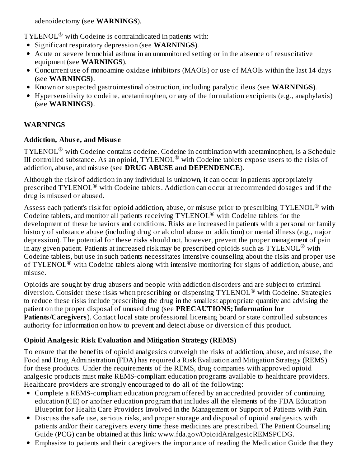adenoidectomy (see **WARNINGS**).

TYLENOL $^{\circledR}$  with Codeine is contraindicated in patients with:

- Significant respiratory depression (see **WARNINGS**).
- Acute or severe bronchial asthma in an unmonitored setting or in the absence of resuscitative equipment (see **WARNINGS**).
- Concurrent use of monoamine oxidase inhibitors (MAOIs) or use of MAOIs within the last 14 days (see **WARNINGS)**.
- Known or suspected gastrointestinal obstruction, including paralytic ileus (see **WARNINGS**).
- Hypersensitivity to codeine, acetaminophen, or any of the formulation excipients (e.g., anaphylaxis) (see **WARNINGS)**.

## **WARNINGS**

### **Addiction, Abus e, and Misus e**

 $\text{TYLENOL}^{\circledR}$  with Codeine contains codeine. Codeine in combination with acetaminophen, is a Schedule III controlled substance. As an opioid,  $\text{TYLENOL}^{\circledR}$  with Codeine tablets expose users to the risks of addiction, abuse, and misuse (see **DRUG ABUSE and DEPENDENCE**).

Although the risk of addiction in any individual is unknown, it can occur in patients appropriately prescribed  $\text{TYLENOL}^{\circledR}$  with Codeine tablets. Addiction can occur at recommended dosages and if the drug is misused or abused.

Assess each patient's risk for opioid addiction, abuse, or misuse prior to prescribing  $\text{TYLENOL}^\circledR$  with Codeine tablets, and monitor all patients receiving  $\text{TYLENOL}^{\circledR}$  with Codeine tablets for the development of these behaviors and conditions. Risks are increased in patients with a personal or family history of substance abuse (including drug or alcohol abuse or addiction) or mental illness (e.g., major depression). The potential for these risks should not, however, prevent the proper management of pain in any given patient. Patients at increased risk may be prescribed opioids such as  $\text{TYLENOL}^{\circledR}$  with Codeine tablets, but use in such patients necessitates intensive counseling about the risks and proper use of TYLENOL<sup>®</sup> with Codeine tablets along with intensive monitoring for signs of addiction, abuse, and misuse.

Opioids are sought by drug abusers and people with addiction disorders and are subject to criminal diversion. Consider these risks when prescribing or dispensing TYLENOL® with Codeine. Strategies to reduce these risks include prescribing the drug in the smallest appropriate quantity and advising the patient on the proper disposal of unused drug (see **PRECAUTIONS;Information for Patients/Caregivers**). Contact local state professional licensing board or state controlled substances authority for information on how to prevent and detect abuse or diversion of this product.

## **Opioid Analgesic Risk Evaluation and Mitigation Strategy (REMS)**

To ensure that the benefits of opioid analgesics outweigh the risks of addiction, abuse, and misuse, the Food and Drug Administration (FDA) has required a Risk Evaluation and Mitigation Strategy (REMS) for these products. Under the requirements of the REMS, drug companies with approved opioid analgesic products must make REMS-compliant education programs available to healthcare providers. Healthcare providers are strongly encouraged to do all of the following:

- Complete a REMS-compliant education program offered by an accredited provider of continuing education (CE) or another education program that includes all the elements of the FDA Education Blueprint for Health Care Providers Involved in the Management or Support of Patients with Pain.
- Discuss the safe use, serious risks, and proper storage and disposal of opioid analgesics with patients and/or their caregivers every time these medicines are prescribed. The Patient Counseling Guide (PCG) can be obtained at this link: www.fda.gov/OpioidAnalgesicREMSPCDG.
- Emphasize to patients and their caregivers the importance of reading the Medication Guide that they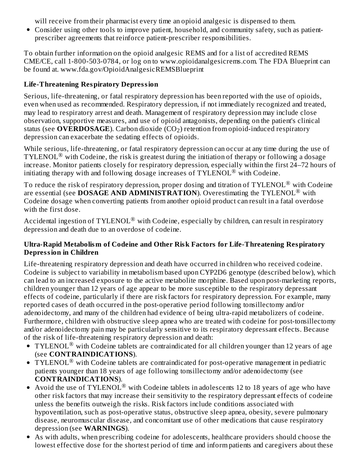will receive from their pharmacist every time an opioid analgesic is dispensed to them.

Consider using other tools to improve patient, household, and community safety, such as patientprescriber agreements that reinforce patient-prescriber responsibilities.

To obtain further information on the opioid analgesic REMS and for a list of accredited REMS CME/CE, call 1-800-503-0784, or log on to www.opioidanalgesicrems.com. The FDA Blueprint can be found at. www.fda.gov/OpioidAnalgesicREMSBlueprint

## **Life-Threatening Respiratory Depression**

Serious, life-threatening, or fatal respiratory depression has been reported with the use of opioids, even when used as recommended. Respiratory depression, if not immediately recognized and treated, may lead to respiratory arrest and death. Management of respiratory depression may include close observation, supportive measures, and use of opioid antagonists, depending on the patient's clinical status (see  $\mathbf{OVERDOSAGE}$ ). Carbon dioxide (CO<sub>2</sub>) retention from opioid-induced respiratory depression can exacerbate the sedating effects of opioids.

While serious, life-threatening, or fatal respiratory depression can occur at any time during the use of  $\text{TYLENOL}^{\circledR}$  with Codeine, the risk is greatest during the initiation of therapy or following a dosage increase. Monitor patients closely for respiratory depression, especially within the first 24–72 hours of initiating therapy with and following dosage increases of  $\text{TYLENOL}^{\circledR}$  with Codeine.

To reduce the risk of respiratory depression, proper dosing and titration of  $\text{TYLENOL}^{\circledR}$  with Codeine are essential (see DOSAGE AND ADMINISTRATION). Overestimating the TYLENOL<sup>®</sup> with Codeine dosage when converting patients from another opioid product can result in a fatal overdose with the first dose.

Accidental ingestion of  $\text{TYLENOL}^{\circledR}$  with Codeine, especially by children, can result in respiratory depression and death due to an overdose of codeine.

### **Ultra-Rapid Metabolism of Codeine and Other Risk Factors for Life-Threatening Respiratory Depression in Children**

Life-threatening respiratory depression and death have occurred in children who received codeine. Codeine is subject to variability in metabolism based upon CYP2D6 genotype (described below), which can lead to an increased exposure to the active metabolite morphine. Based upon post-marketing reports, children younger than 12 years of age appear to be more susceptible to the respiratory depressant effects of codeine, particularly if there are risk factors for respiratory depression. For example, many reported cases of death occurred in the post-operative period following tonsillectomy and/or adenoidectomy, and many of the children had evidence of being ultra-rapid metabolizers of codeine. Furthermore, children with obstructive sleep apnea who are treated with codeine for post-tonsillectomy and/or adenoidectomy pain may be particularly sensitive to its respiratory depressant effects. Because of the risk of life-threatening respiratory depression and death:

- $\text{TYLENOL}^{\circledR}$  with Codeine tablets are contraindicated for all children younger than 12 years of age (see **CONTRAINDICATIONS**).
- TYLENOL $^{\circledR}$  with Codeine tablets are contraindicated for post-operative management in pediatric patients younger than 18 years of age following tonsillectomy and/or adenoidectomy (see **CONTRAINDICATIONS**).
- Avoid the use of TYLENOL $^{\circledR}$  with Codeine tablets in adolescents 12 to 18 years of age who have other risk factors that may increase their sensitivity to the respiratory depressant effects of codeine unless the benefits outweigh the risks. Risk factors include conditions associated with hypoventilation, such as post-operative status, obstructive sleep apnea, obesity, severe pulmonary disease, neuromuscular disease, and concomitant use of other medications that cause respiratory depression (see **WARNINGS**).
- As with adults, when prescribing codeine for adolescents, healthcare providers should choose the lowest effective dose for the shortest period of time and inform patients and caregivers about these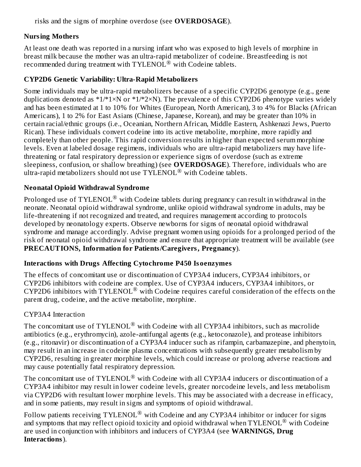risks and the signs of morphine overdose (see **OVERDOSAGE**).

### **Nursing Mothers**

At least one death was reported in a nursing infant who was exposed to high levels of morphine in breast milk because the mother was an ultra-rapid metabolizer of codeine. Breastfeeding is not recommended during treatment with  $\text{TYLENOL}^{\circledR}$  with Codeine tablets.

#### **CYP2D6 Genetic Variability: Ultra-Rapid Metabolizers**

Some individuals may be ultra-rapid metabolizers because of a specific CYP2D6 genotype (e.g., gene duplications denoted as  $*1/*1×N$  or  $*1/*2×N$ ). The prevalence of this CYP2D6 phenotype varies widely and has been estimated at 1 to 10% for Whites (European, North American), 3 to 4% for Blacks (African Americans), 1 to 2% for East Asians (Chinese, Japanese, Korean), and may be greater than 10% in certain racial/ethnic groups (i.e., Oceanian, Northern African, Middle Eastern, Ashkenazi Jews, Puerto Rican). These individuals convert codeine into its active metabolite, morphine, more rapidly and completely than other people. This rapid conversion results in higher than expected serum morphine levels. Even at labeled dosage regimens, individuals who are ultra-rapid metabolizers may have lifethreatening or fatal respiratory depression or experience signs of overdose (such as extreme sleepiness, confusion, or shallow breathing) (see **OVERDOSAGE**). Therefore, individuals who are ultra-rapid metabolizers should not use  $\text{TYLENOL}^{\circledR}$  with Codeine tablets.

#### **Neonatal Opioid Withdrawal Syndrome**

Prolonged use of  $\text{TYLENOL}^{\circledR}$  with Codeine tablets during pregnancy can result in withdrawal in the neonate. Neonatal opioid withdrawal syndrome, unlike opioid withdrawal syndrome in adults, may be life-threatening if not recognized and treated, and requires management according to protocols developed by neonatology experts. Observe newborns for signs of neonatal opioid withdrawal syndrome and manage accordingly. Advise pregnant women using opioids for a prolonged period of the risk of neonatal opioid withdrawal syndrome and ensure that appropriate treatment will be available (see **PRECAUTIONS, Information for Patients/Caregivers, Pregnancy**).

#### **Interactions with Drugs Affecting Cytochrome P450 Isoenzymes**

The effects of concomitant use or discontinuation of CYP3A4 inducers, CYP3A4 inhibitors, or CYP2D6 inhibitors with codeine are complex. Use of CYP3A4 inducers, CYP3A4 inhibitors, or  $\text{CYP2D6}$  inhibitors with  $\text{TYLENOL}^{\textcircled{\tiny{\textregistered}} }$  with Codeine requires careful consideration of the effects on the parent drug, codeine, and the active metabolite, morphine.

### CYP3A4 Interaction

The concomitant use of  $\text{TYLENOL}^{\circledR}$  with Codeine with all CYP3A4 inhibitors, such as macrolide antibiotics (e.g., erythromycin), azole-antifungal agents (e.g., ketoconazole), and protease inhibitors (e.g., ritonavir) or discontinuation of a CYP3A4 inducer such as rifampin, carbamazepine, and phenytoin, may result in an increase in codeine plasma concentrations with subsequently greater metabolism by CYP2D6, resulting in greater morphine levels, which could increase or prolong adverse reactions and may cause potentially fatal respiratory depression.

The concomitant use of  $\text{TYLENOL}^{\circledR}$  with Codeine with all CYP3A4 inducers or discontinuation of a CYP3A4 inhibitor may result in lower codeine levels, greater norcodeine levels, and less metabolism via CYP2D6 with resultant lower morphine levels. This may be associated with a decrease in efficacy, and in some patients, may result in signs and symptoms of opioid withdrawal.

Follow patients receiving  $\text{TYLENOL}^{\circledR}$  with Codeine and any CYP3A4 inhibitor or inducer for signs and symptoms that may reflect opioid toxicity and opioid withdrawal when  $\text{TYLENOL}^{\circledR}$  with Codeine are used in conjunction with inhibitors and inducers of CYP3A4 (see **WARNINGS, Drug Interactions**).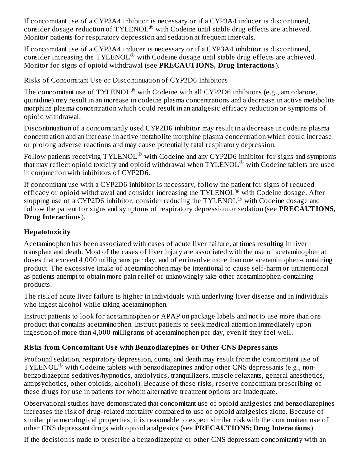If concomitant use of a CYP3A4 inhibitor is necessary or if a CYP3A4 inducer is discontinued, consider dosage reduction of  $\text{TYLENOL}^{\circledR}$  with Codeine until stable drug effects are achieved. Monitor patients for respiratory depression and sedation at frequent intervals.

If concomitant use of a CYP3A4 inducer is necessary or if a CYP3A4 inhibitor is discontinued, consider increasing the  $\text{TYLENOL}^{\circledR}$  with Codeine dosage until stable drug effects are achieved. Monitor for signs of opioid withdrawal (see **PRECAUTIONS, Drug Interactions**).

Risks of Concomitant Use or Discontinuation of CYP2D6 Inhibitors

The concomitant use of TYLENOL $^\circledR$  with Codeine with all CYP2D6 inhibitors (e.g., amiodarone, quinidine) may result in an increase in codeine plasma concentrations and a decrease in active metabolite morphine plasma concentration which could result in an analgesic efficacy reduction or symptoms of opioid withdrawal.

Discontinuation of a concomitantly used CYP2D6 inhibitor may result in a decrease in codeine plasma concentration and an increase in active metabolite morphine plasma concentration which could increase or prolong adverse reactions and may cause potentially fatal respiratory depression.

Follow patients receiving  $\text{TYLENOL}^{\circledR}$  with Codeine and any CYP2D6 inhibitor for signs and symptoms that may reflect opioid toxicity and opioid withdrawal when  $\text{TYLENOL}^{\circledR}$  with Codeine tablets are used in conjunction with inhibitors of CYP2D6.

If concomitant use with a CYP2D6 inhibitor is necessary, follow the patient for signs of reduced efficacy or opioid withdrawal and consider increasing the  $\text{TYLENOL}^{\circledR}$  with Codeine dosage. After stopping use of a CYP2D6 inhibitor, consider reducing the  $\text{TYLENOL}^{\circledR}$  with Codeine dosage and follow the patient for signs and symptoms of respiratory depression or sedation (see **PRECAUTIONS, Drug Interactions**).

### **Hepatotoxicity**

Acetaminophen has been associated with cases of acute liver failure, at times resulting in liver transplant and death. Most of the cases of liver injury are associated with the use of acetaminophen at doses that exceed 4,000 milligrams per day, and often involve more than one acetaminophen-containing product. The excessive intake of acetaminophen may be intentional to cause self-harm or unintentional as patients attempt to obtain more pain relief or unknowingly take other acetaminophen-containing products.

The risk of acute liver failure is higher in individuals with underlying liver disease and in individuals who ingest alcohol while taking acetaminophen.

Instruct patients to look for acetaminophen or APAP on package labels and not to use more than one product that contains acetaminophen. Instruct patients to seek medical attention immediately upon ingestion of more than 4,000 milligrams of acetaminophen per day, even if they feel well.

### **Risks from Concomitant Us e with Benzodiazepines or Other CNS Depressants**

Profound sedation, respiratory depression, coma, and death may result from the concomitant use of TYLENOL<sup>®</sup> with Codeine tablets with benzodiazepines and/or other CNS depressants (e.g., nonbenzodiazepine sedatives/hypnotics, anxiolytics, tranquilizers, muscle relaxants, general anesthetics, antipsychotics, other opioids, alcohol). Because of these risks, reserve concomitant prescribing of these drugs for use in patients for whom alternative treatment options are inadequate.

Observational studies have demonstrated that concomitant use of opioid analgesics and benzodiazepines increases the risk of drug-related mortality compared to use of opioid analgesics alone. Because of similar pharmacological properties, it is reasonable to expect similar risk with the concomitant use of other CNS depressant drugs with opioid analgesics (see **PRECAUTIONS; Drug Interactions**).

If the decision is made to prescribe a benzodiazepine or other CNS depressant concomitantly with an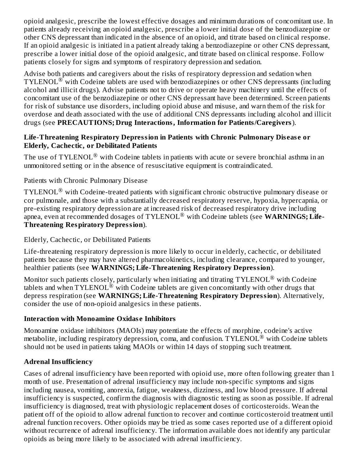opioid analgesic, prescribe the lowest effective dosages and minimum durations of concomitant use. In patients already receiving an opioid analgesic, prescribe a lower initial dose of the benzodiazepine or other CNS depressant than indicated in the absence of an opioid, and titrate based on clinical response. If an opioid analgesic is initiated in a patient already taking a benzodiazepine or other CNS depressant, prescribe a lower initial dose of the opioid analgesic, and titrate based on clinical response. Follow patients closely for signs and symptoms of respiratory depression and sedation.

Advise both patients and caregivers about the risks of respiratory depression and sedation when  $\text{TYLENOL}^{\circledast}$  with Codeine tablets are used with benzodiazepines or other CNS depressants (including alcohol and illicit drugs). Advise patients not to drive or operate heavy machinery until the effects of concomitant use of the benzodiazepine or other CNS depressant have been determined. Screen patients for risk of substance use disorders, including opioid abuse and misuse, and warn them of the risk for overdose and death associated with the use of additional CNS depressants including alcohol and illicit drugs (see **PRECAUTIONS; Drug Interactions, Information for Patients/Caregivers**).

#### **Life-Threatening Respiratory Depression in Patients with Chronic Pulmonary Dis eas e or Elderly, Cachectic, or Debilitated Patients**

The use of TYLENOL $^\circledR$  with Codeine tablets in patients with acute or severe bronchial asthma in an unmonitored setting or in the absence of resuscitative equipment is contraindicated.

### Patients with Chronic Pulmonary Disease

 $\text{TYLENOL}^{\circledR}$  with Codeine-treated patients with significant chronic obstructive pulmonary disease or cor pulmonale, and those with a substantially decreased respiratory reserve, hypoxia, hypercapnia, or pre-existing respiratory depression are at increased risk of decreased respiratory drive including apnea, even at recommended dosages of TYLENOL® with Codeine tablets (see **WARNINGS; Life-Threatening Respiratory Depression**).

Elderly, Cachectic, or Debilitated Patients

Life-threatening respiratory depression is more likely to occur in elderly, cachectic, or debilitated patients because they may have altered pharmacokinetics, including clearance, compared to younger, healthier patients (see **WARNINGS; Life-Threatening Respiratory Depression**).

Monitor such patients closely, particularly when initiating and titrating  $\text{TYLENOL}^{\circledR}$  with Codeine tablets and when  $\text{TYLENOL}^{\circledR}$  with Codeine tablets are given concomitantly with other drugs that depress respiration (see **WARNINGS; Life-Threatening Respiratory Depression**). Alternatively, consider the use of non-opioid analgesics in these patients.

### **Interaction with Monoamine Oxidas e Inhibitors**

Monoamine oxidase inhibitors (MAOIs) may potentiate the effects of morphine, codeine's active metabolite, including respiratory depression, coma, and confusion. TYLENOL<sup>®</sup> with Codeine tablets should not be used in patients taking MAOIs or within 14 days of stopping such treatment.

## **Adrenal Insufficiency**

Cases of adrenal insufficiency have been reported with opioid use, more often following greater than 1 month of use. Presentation of adrenal insufficiency may include non-specific symptoms and signs including nausea, vomiting, anorexia, fatigue, weakness, dizziness, and low blood pressure. If adrenal insufficiency is suspected, confirm the diagnosis with diagnostic testing as soon as possible. If adrenal insufficiency is diagnosed, treat with physiologic replacement doses of corticosteroids. Wean the patient off of the opioid to allow adrenal function to recover and continue corticosteroid treatment until adrenal function recovers. Other opioids may be tried as some cases reported use of a different opioid without recurrence of adrenal insufficiency. The information available does not identify any particular opioids as being more likely to be associated with adrenal insufficiency.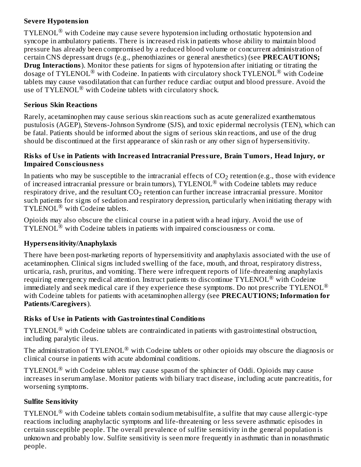### **Severe Hypotension**

 $\text{TYLENOL}^{\circledR}$  with Codeine may cause severe hypotension including orthostatic hypotension and syncope in ambulatory patients. There is increased risk in patients whose ability to maintain blood pressure has already been compromised by a reduced blood volume or concurrent administration of certain CNS depressant drugs (e.g., phenothiazines or general anesthetics) (see **PRECAUTIONS; Drug Interactions**). Monitor these patients for signs of hypotension after initiating or titrating the dosage of TYLENOL<sup>®</sup> with Codeine. In patients with circulatory shock TYLENOL<sup>®</sup> with Codeine tablets may cause vasodilatation that can further reduce cardiac output and blood pressure. Avoid the use of  $\text{TYLENOL}^{\circledR}$  with Codeine tablets with circulatory shock.

#### **Serious Skin Reactions**

Rarely, acetaminophen may cause serious skin reactions such as acute generalized exanthematous pustulosis (AGEP), Stevens-Johnson Syndrome (SJS), and toxic epidermal necrolysis (TEN), which can be fatal. Patients should be informed about the signs of serious skin reactions, and use of the drug should be discontinued at the first appearance of skin rash or any other sign of hypersensitivity.

#### **Risks of Us e in Patients with Increas ed Intracranial Pressure, Brain Tumors, Head Injury, or Impaired Cons ciousness**

In patients who may be susceptible to the intracranial effects of  $CO_2$  retention (e.g., those with evidence of increased intracranial pressure or brain tumors), TYLENOL<sup>®</sup> with Codeine tablets may reduce respiratory drive, and the resultant  ${\rm CO}_2$  retention can further increase intracranial pressure. Monitor such patients for signs of sedation and respiratory depression, particularly when initiating therapy with  $\text{TYLENOL}^{\circledR}$  with Codeine tablets.

Opioids may also obscure the clinical course in a patient with a head injury. Avoid the use of  $\text{TYLENOL}^{\circledR}$  with Codeine tablets in patients with impaired consciousness or coma.

### **Hypers ensitivity/Anaphylaxis**

There have been post-marketing reports of hypersensitivity and anaphylaxis associated with the use of acetaminophen. Clinical signs included swelling of the face, mouth, and throat, respiratory distress, urticaria, rash, pruritus, and vomiting. There were infrequent reports of life-threatening anaphylaxis requiring emergency medical attention. Instruct patients to discontinue  $\text{TYLENOL}^{\textcircled{\tiny{\textregistered}} }$  with Codeine immediately and seek medical care if they experience these symptoms. Do not prescribe TYLENOL ® with Codeine tablets for patients with acetaminophen allergy (see **PRECAUTIONS;Information for Patients/Caregivers**).

### **Risks of Us e in Patients with Gastrointestinal Conditions**

TYLENOL $^{\circledR}$  with Codeine tablets are contraindicated in patients with gastrointestinal obstruction, including paralytic ileus.

The administration of  $\text{TYLENOL}^{\circledR}$  with Codeine tablets or other opioids may obscure the diagnosis or clinical course in patients with acute abdominal conditions.

 $\text{TYLENOL}^{\circledR}$  with Codeine tablets may cause spasm of the sphincter of Oddi. Opioids may cause increases in serum amylase. Monitor patients with biliary tract disease, including acute pancreatitis, for worsening symptoms.

### **Sulfite Sensitivity**

<code>TYLENOL $^\circledR$ </code> with Codeine tablets contain sodium metabisulfite, a sulfite that may cause allergic-type reactions including anaphylactic symptoms and life-threatening or less severe asthmatic episodes in certain susceptible people. The overall prevalence of sulfite sensitivity in the general population is unknown and probably low. Sulfite sensitivity is seen more frequently in asthmatic than in nonasthmatic people.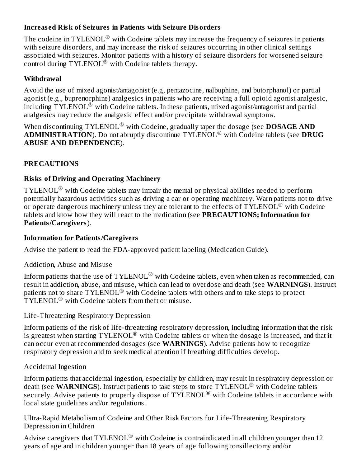#### **Increas ed Risk of Seizures in Patients with Seizure Disorders**

The codeine in TYLENOL $^\circledR$  with Codeine tablets may increase the frequency of seizures in patients with seizure disorders, and may increase the risk of seizures occurring in other clinical settings associated with seizures. Monitor patients with a history of seizure disorders for worsened seizure control during  $TYLENOL<sup>®</sup>$  with Codeine tablets therapy.

#### **Withdrawal**

Avoid the use of mixed agonist/antagonist (e.g, pentazocine, nalbuphine, and butorphanol) or partial agonist (e.g., buprenorphine) analgesics in patients who are receiving a full opioid agonist analgesic, including  $\widehat{\text{TYLENOL}}^{\circledR}$  with Codeine tablets. In these patients, mixed agonist/antagonist and partial analgesics may reduce the analgesic effect and/or precipitate withdrawal symptoms.

When discontinuing  $\text{TYLENOL}^{\circledR}$  with Codeine, gradually taper the dosage (see  $\textbf{DOSAGE}$   $\textbf{AND}$ **ADMINISTRATION**). Do not abruptly discontinue TYLENOL<sup>®</sup> with Codeine tablets (see DRUG **ABUSE AND DEPENDENCE**).

#### **PRECAUTIONS**

#### **Risks of Driving and Operating Machinery**

TYLENOL $^\circledR$  with Codeine tablets may impair the mental or physical abilities needed to perform potentially hazardous activities such as driving a car or operating machinery. Warn patients not to drive or operate dangerous machinery unless they are tolerant to the effects of TYLENOL<sup>®</sup> with Codeine tablets and know how they will react to the medication (see **PRECAUTIONS;Information for Patients/Caregivers**).

#### **Information for Patients/Caregivers**

Advise the patient to read the FDA-approved patient labeling (Medication Guide).

Addiction, Abuse and Misuse

Inform patients that the use of  $\text{TYLENOL}^{\circledR}$  with Codeine tablets, even when taken as recommended, can result in addiction, abuse, and misuse, which can lead to overdose and death (see **WARNINGS**). Instruct patients not to share  $\text{TYLENOL}^{\circledR}$  with Codeine tablets with others and to take steps to protect  $\mathrm{\dot{T}}\mathrm{YLENOL}^{\circledR}$  with Codeine tablets from theft or misuse.

Life-Threatening Respiratory Depression

Inform patients of the risk of life-threatening respiratory depression, including information that the risk is greatest when starting  $\text{TYLENOL}^{\circledR}$  with Codeine tablets or when the dosage is increased, and that it can occur even at recommended dosages (see **WARNINGS**). Advise patients how to recognize respiratory depression and to seek medical attention if breathing difficulties develop.

#### Accidental Ingestion

Inform patients that accidental ingestion, especially by children, may result in respiratory depression or death (see WARNINGS). Instruct patients to take steps to store TYLENOL<sup>®</sup> with Codeine tablets securely. Advise patients to properly dispose of  $\text{TYLENOL}^{\circledR}$  with Codeine tablets in accordance with local state guidelines and/or regulations.

Ultra-Rapid Metabolism of Codeine and Other Risk Factors for Life-Threatening Respiratory Depression in Children

Advise caregivers that  $\text{TYLENOL}^{\circledR}$  with Codeine is contraindicated in all children younger than 12 years of age and in children younger than 18 years of age following tonsillectomy and/or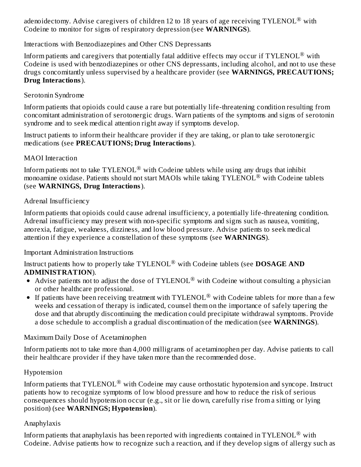adenoidectomy. Advise caregivers of children 12 to 18 years of age receiving  $\text{TYLENOL} ^{\circledR}$  with Codeine to monitor for signs of respiratory depression (see **WARNINGS**)*.*

### Interactions with Benzodiazepines and Other CNS Depressants

Inform patients and caregivers that potentially fatal additive effects may occur if  $\text{TYLENOL}^{\circledR}$  with Codeine is used with benzodiazepines or other CNS depressants, including alcohol, and not to use these drugs concomitantly unless supervised by a healthcare provider (see **WARNINGS, PRECAUTIONS; Drug Interactions**).

#### Serotonin Syndrome

Inform patients that opioids could cause a rare but potentially life-threatening condition resulting from concomitant administration of serotonergic drugs. Warn patients of the symptoms and signs of serotonin syndrome and to seek medical attention right away if symptoms develop.

Instruct patients to inform their healthcare provider if they are taking, or plan to take serotonergic medications (see **PRECAUTIONS; Drug Interactions**).

#### MAOI Interaction

Inform patients not to take  $\text{TYLENOL}^\circledR$  with Codeine tablets while using any drugs that inhibit monoamine oxidase. Patients should not start MAOIs while taking  $\text{TYLENOL}^{\textcircled{\tiny{\textregistered}} }$  with Codeine tablets (see **WARNINGS, Drug Interactions**).

#### Adrenal Insufficiency

Inform patients that opioids could cause adrenal insufficiency, a potentially life-threatening condition. Adrenal insufficiency may present with non-specific symptoms and signs such as nausea, vomiting, anorexia, fatigue, weakness, dizziness, and low blood pressure. Advise patients to seek medical attention if they experience a constellation of these symptoms (see **WARNINGS**).

#### Important Administration Instructions

Instruct patients how to properly take TYLENOL<sup>®</sup> with Codeine tablets (see **DOSAGE AND ADMINISTRATION**).

- Advise patients not to adjust the dose of TYLENOL $^{\circledR}$  with Codeine without consulting a physician or other healthcare professional.
- If patients have been receiving treatment with  $\text{TYLENOL}^\circledR$  with Codeine tablets for more than a few weeks and cessation of therapy is indicated, counsel them on the importance of safely tapering the dose and that abruptly discontinuing the medication could precipitate withdrawal symptoms. Provide a dose schedule to accomplish a gradual discontinuation of the medication (see **WARNINGS**).

### Maximum Daily Dose of Acetaminophen

Inform patients not to take more than 4,000 milligrams of acetaminophen per day. Advise patients to call their healthcare provider if they have taken more than the recommended dose.

### Hypotension

Inform patients that  $\text{TYLENOL}^\circledR$  with Codeine may cause orthostatic hypotension and syncope. Instruct patients how to recognize symptoms of low blood pressure and how to reduce the risk of serious consequences should hypotension occur (e.g., sit or lie down, carefully rise from a sitting or lying position) (see **WARNINGS; Hypotension**).

#### Anaphylaxis

Inform patients that anaphylaxis has been reported with ingredients contained in  $\text{TYLENOL}^{\circledR}$  with Codeine. Advise patients how to recognize such a reaction, and if they develop signs of allergy such as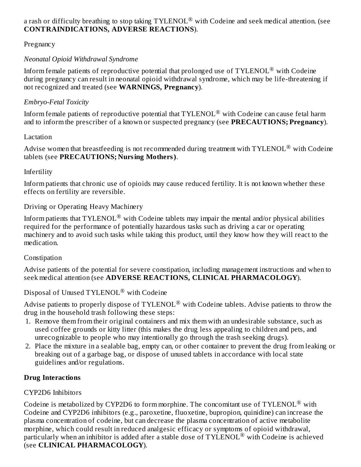a rash or difficulty breathing to stop taking  $\text{TYLENOL}^{\circledR}$  with Codeine and seek medical attention. (see **CONTRAINDICATIONS, ADVERSE REACTIONS**).

#### Pregnancy

#### *Neonatal Opioid Withdrawal Syndrome*

Inform female patients of reproductive potential that prolonged use of  $\text{TYLENOL}^{\circledR}$  with Codeine during pregnancy can result in neonatal opioid withdrawal syndrome, which may be life-threatening if not recognized and treated (see **WARNINGS, Pregnancy**).

#### *Embryo-Fetal Toxicity*

Inform female patients of reproductive potential that  $\text{TYLENOL}^{\circledR}$  with Codeine can cause fetal harm and to inform the prescriber of a known or suspected pregnancy (see **PRECAUTIONS; Pregnancy**).

#### **Lactation**

Advise women that breastfeeding is not recommended during treatment with  $\text{TYLENOL}^{\circledR}$  with Codeine tablets (see **PRECAUTIONS; Nursing Mothers)**.

### Infertility

Inform patients that chronic use of opioids may cause reduced fertility. It is not known whether these effects on fertility are reversible.

### Driving or Operating Heavy Machinery

Inform patients that  $\text{TYLENOL}^{\circledR}$  with Codeine tablets may impair the mental and/or physical abilities required for the performance of potentially hazardous tasks such as driving a car or operating machinery and to avoid such tasks while taking this product, until they know how they will react to the medication.

### Constipation

Advise patients of the potential for severe constipation, including management instructions and when to seek medical attention (see **ADVERSE REACTIONS, CLINICAL PHARMACOLOGY**).

### Disposal of Unused  $\mathop{\rm TYLENOL}\nolimits^{\circledR}$  with Codeine

Advise patients to properly dispose of  $\text{TYLENOL}^{\circledR}$  with Codeine tablets. Advise patients to throw the drug in the household trash following these steps:

- 1. Remove them from their original containers and mix them with an undesirable substance, such as used coffee grounds or kitty litter (this makes the drug less appealing to children and pets, and unrecognizable to people who may intentionally go through the trash seeking drugs).
- 2. Place the mixture in a sealable bag, empty can, or other container to prevent the drug from leaking or breaking out of a garbage bag, or dispose of unused tablets in accordance with local state guidelines and/or regulations.

### **Drug Interactions**

### CYP2D6 Inhibitors

Codeine is metabolized by CYP2D6 to form morphine. The concomitant use of TYLENOL $^{\circledR}$  with Codeine and CYP2D6 inhibitors (e.g., paroxetine, fluoxetine, bupropion, quinidine) can increase the plasma concentration of codeine, but can decrease the plasma concentration of active metabolite morphine, which could result in reduced analgesic efficacy or symptoms of opioid withdrawal, particularly when an inhibitor is added after a stable dose of  $\text{TYLENOL}^{\circledR}$  with Codeine is achieved (see **CLINICAL PHARMACOLOGY**).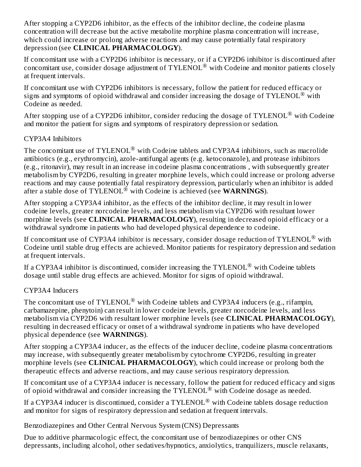After stopping a CYP2D6 inhibitor, as the effects of the inhibitor decline, the codeine plasma concentration will decrease but the active metabolite morphine plasma concentration will increase, which could increase or prolong adverse reactions and may cause potentially fatal respiratory depression (see **CLINICAL PHARMACOLOGY**).

If concomitant use with a CYP2D6 inhibitor is necessary, or if a CYP2D6 inhibitor is discontinued after concomitant use, consider dosage adjustment of  $\text{TYLENOL}^{\circledR}$  with Codeine and monitor patients closely at frequent intervals.

If concomitant use with CYP2D6 inhibitors is necessary, follow the patient for reduced efficacy or signs and symptoms of opioid withdrawal and consider increasing the dosage of  $\text{TYLENOL}^{\circledR}$  with Codeine as needed.

After stopping use of a CYP2D6 inhibitor, consider reducing the dosage of TYLENOL $^\circledR$  with Codeine and monitor the patient for signs and symptoms of respiratory depression or sedation.

#### CYP3A4 Inhibitors

The concomitant use of  $\text{TYLENOL}^\circledR$  with Codeine tablets and CYP3A4 inhibitors, such as macrolide antibiotics (e.g., erythromycin), azole-antifungal agents (e.g. ketoconazole), and protease inhibitors (e.g., ritonavir), may result in an increase in codeine plasma concentrations , with subsequently greater metabolism by CYP2D6, resulting in greater morphine levels, which could increase or prolong adverse reactions and may cause potentially fatal respiratory depression, particularly when an inhibitor is added after a stable dose of  $\text{TYLENOL}^{\tilde{\text{®}}}$  with Codeine is achieved (see  $\textbf{WARNINGS}$ ).

After stopping a CYP3A4 inhibitor, as the effects of the inhibitor decline, it may result in lower codeine levels, greater norcodeine levels, and less metabolism via CYP2D6 with resultant lower morphine levels (see **CLINICAL PHARMACOLOGY**), resulting in decreased opioid efficacy or a withdrawal syndrome in patients who had developed physical dependence to codeine.

If concomitant use of CYP3A4 inhibitor is necessary, consider dosage reduction of TYLENOL  $^\circledR$  with Codeine until stable drug effects are achieved. Monitor patients for respiratory depression and sedation at frequent intervals.

If a CYP3A4 inhibitor is discontinued, consider increasing the  $\text{TYLENOL}^\circledR$  with Codeine tablets dosage until stable drug effects are achieved. Monitor for signs of opioid withdrawal.

### CYP3A4 Inducers

The concomitant use of TYLENOL $^{\circledR}$  with Codeine tablets and CYP3A4 inducers (e.g., rifampin, carbamazepine, phenytoin) can result in lower codeine levels, greater norcodeine levels, and less metabolism via CYP2D6 with resultant lower morphine levels (see **CLINICAL PHARMACOLOGY**), resulting in decreased efficacy or onset of a withdrawal syndrome in patients who have developed physical dependence (see **WARNINGS**).

After stopping a CYP3A4 inducer, as the effects of the inducer decline, codeine plasma concentrations may increase, with subsequently greater metabolism by cytochrome CYP2D6, resulting in greater morphine levels (see **CLINICAL PHARMACOLOGY**), which could increase or prolong both the therapeutic effects and adverse reactions, and may cause serious respiratory depression.

If concomitant use of a CYP3A4 inducer is necessary, follow the patient for reduced efficacy and signs of opioid withdrawal and consider increasing the  $\text{TYLENOL}^{\circledR}$  with Codeine dosage as needed.

If a CYP3A4 inducer is discontinued, consider a  $\text{TYLENOL}^{\circledR}$  with Codeine tablets dosage reduction and monitor for signs of respiratory depression and sedation at frequent intervals.

Benzodiazepines and Other Central Nervous System (CNS) Depressants

Due to additive pharmacologic effect, the concomitant use of benzodiazepines or other CNS depressants, including alcohol, other sedatives/hypnotics, anxiolytics, tranquilizers, muscle relaxants,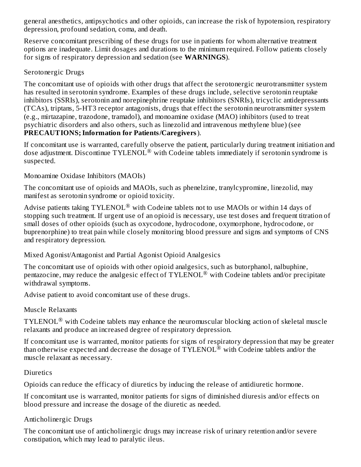general anesthetics, antipsychotics and other opioids, can increase the risk of hypotension, respiratory depression, profound sedation, coma, and death.

Reserve concomitant prescribing of these drugs for use in patients for whom alternative treatment options are inadequate. Limit dosages and durations to the minimum required. Follow patients closely for signs of respiratory depression and sedation (see **WARNINGS**).

#### Serotonergic Drugs

The concomitant use of opioids with other drugs that affect the serotonergic neurotransmitter system has resulted in serotonin syndrome. Examples of these drugs include, selective serotonin reuptake inhibitors (SSRIs), serotonin and norepinephrine reuptake inhibitors (SNRIs), tricyclic antidepressants (TCAs), triptans, 5-HT3 receptor antagonists, drugs that effect the serotonin neurotransmitter system (e.g., mirtazapine, trazodone, tramadol), and monoamine oxidase (MAO) inhibitors (used to treat psychiatric disorders and also others, such as linezolid and intravenous methylene blue) (see **PRECAUTIONS;Information for Patients/Caregivers**).

If concomitant use is warranted, carefully observe the patient, particularly during treatment initiation and dose adjustment. Discontinue  $\text{TYLENOL}^{\circledR}$  with Codeine tablets immediately if serotonin syndrome is suspected.

#### Monoamine Oxidase Inhibitors (MAOIs)

The concomitant use of opioids and MAOIs, such as phenelzine, tranylcypromine, linezolid, may manifest as serotonin syndrome or opioid toxicity.

Advise patients taking  $\text{TYLENOL}^{\circledR}$  with Codeine tablets not to use MAOIs or within 14 days of stopping such treatment. If urgent use of an opioid is necessary, use test doses and frequent titration of small doses of other opioids (such as oxycodone, hydrocodone, oxymorphone, hydrocodone, or buprenorphine) to treat pain while closely monitoring blood pressure and signs and symptoms of CNS and respiratory depression.

### Mixed Agonist/Antagonist and Partial Agonist Opioid Analgesics

The concomitant use of opioids with other opioid analgesics, such as butorphanol, nalbuphine, pentazocine, may reduce the analgesic effect of  $\text{TYLENOL}^{\circledR}$  with Codeine tablets and/or precipitate withdrawal symptoms.

Advise patient to avoid concomitant use of these drugs.

### Muscle Relaxants

 $\text{TYLENOL}^{\circledR}$  with Codeine tablets may enhance the neuromuscular blocking action of skeletal muscle relaxants and produce an increased degree of respiratory depression.

If concomitant use is warranted, monitor patients for signs of respiratory depression that may be greater than otherwise expected and decrease the dosage of  $\text{TYLENOL}^{\textcircled{\textregistered}}}$  with Codeine tablets and/or the muscle relaxant as necessary.

### **Diuretics**

Opioids can reduce the efficacy of diuretics by inducing the release of antidiuretic hormone.

If concomitant use is warranted, monitor patients for signs of diminished diuresis and/or effects on blood pressure and increase the dosage of the diuretic as needed.

### Anticholinergic Drugs

The concomitant use of anticholinergic drugs may increase risk of urinary retention and/or severe constipation, which may lead to paralytic ileus.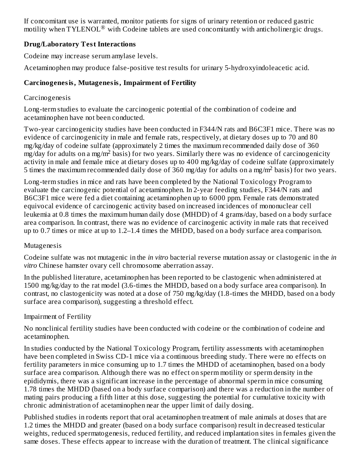If concomitant use is warranted, monitor patients for signs of urinary retention or reduced gastric motility when  $\text{TYLENOL}^{\circledR}$  with Codeine tablets are used concomitantly with anticholinergic drugs.

#### **Drug/Laboratory Test Interactions**

Codeine may increase serum amylase levels.

Acetaminophen may produce false-positive test results for urinary 5-hydroxyindoleacetic acid.

## **Carcinogenesis, Mutagenesis, Impairment of Fertility**

### **Carcinogenesis**

Long-term studies to evaluate the carcinogenic potential of the combination of codeine and acetaminophen have not been conducted.

Two-year carcinogenicity studies have been conducted in F344/N rats and B6C3F1 mice. There was no evidence of carcinogenicity in male and female rats, respectively, at dietary doses up to 70 and 80 mg/kg/day of codeine sulfate (approximately 2 times the maximum recommended daily dose of 360  $mg/day$  for adults on a mg/m<sup>2</sup> basis) for two years. Similarly there was no evidence of carcinogenicity activity in male and female mice at dietary doses up to 400 mg/kg/day of codeine sulfate (approximately 5 times the maximum recommended daily dose of  $360$  mg/day for adults on a mg/m<sup>2</sup> basis) for two years.

Long-term studies in mice and rats have been completed by the National Toxicology Program to evaluate the carcinogenic potential of acetaminophen. In 2-year feeding studies, F344/N rats and B6C3F1 mice were fed a diet containing acetaminophen up to 6000 ppm. Female rats demonstrated equivocal evidence of carcinogenic activity based on increased incidences of mononuclear cell leukemia at 0.8 times the maximum human daily dose (MHDD) of 4 grams/day, based on a body surface area comparison. In contrast, there was no evidence of carcinogenic activity in male rats that received up to 0.7 times or mice at up to 1.2–1.4 times the MHDD, based on a body surface area comparison.

### Mutagenesis

Codeine sulfate was not mutagenic in the *in vitro* bacterial reverse mutation assay or clastogenic in the *in vitro* Chinese hamster ovary cell chromosome aberration assay.

In the published literature, acetaminophen has been reported to be clastogenic when administered at 1500 mg/kg/day to the rat model (3.6-times the MHDD, based on a body surface area comparison). In contrast, no clastogenicity was noted at a dose of 750 mg/kg/day (1.8-times the MHDD, based on a body surface area comparison), suggesting a threshold effect.

### Impairment of Fertility

No nonclinical fertility studies have been conducted with codeine or the combination of codeine and acetaminophen.

In studies conducted by the National Toxicology Program, fertility assessments with acetaminophen have been completed in Swiss CD-1 mice via a continuous breeding study. There were no effects on fertility parameters in mice consuming up to 1.7 times the MHDD of acetaminophen, based on a body surface area comparison. Although there was no effect on sperm motility or sperm density in the epididymis, there was a significant increase in the percentage of abnormal sperm in mice consuming 1.78 times the MHDD (based on a body surface comparison) and there was a reduction in the number of mating pairs producing a fifth litter at this dose, suggesting the potential for cumulative toxicity with chronic administration of acetaminophen near the upper limit of daily dosing.

Published studies in rodents report that oral acetaminophen treatment of male animals at doses that are 1.2 times the MHDD and greater (based on a body surface comparison) result in decreased testicular weights, reduced spermatogenesis, reduced fertility, and reduced implantation sites in females given the same doses. These effects appear to increase with the duration of treatment. The clinical significance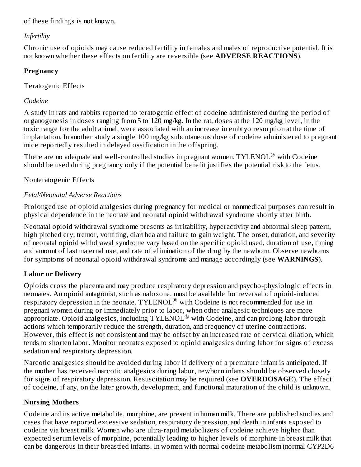of these findings is not known.

## *Infertility*

Chronic use of opioids may cause reduced fertility in females and males of reproductive potential. It is not known whether these effects on fertility are reversible (see **ADVERSE REACTIONS**).

## **Pregnancy**

Teratogenic Effects

## *Codeine*

A study in rats and rabbits reported no teratogenic effect of codeine administered during the period of organogenesis in doses ranging from 5 to 120 mg/kg. In the rat, doses at the 120 mg/kg level, in the toxic range for the adult animal, were associated with an increase in embryo resorption at the time of implantation. In another study a single 100 mg/kg subcutaneous dose of codeine administered to pregnant mice reportedly resulted in delayed ossification in the offspring.

There are no adequate and well-controlled studies in pregnant women.  $\text{TYLENOL}^{\circledR}$  with Codeine should be used during pregnancy only if the potential benefit justifies the potential risk to the fetus.

## Nonteratogenic Effects

## *Fetal/Neonatal Adverse Reactions*

Prolonged use of opioid analgesics during pregnancy for medical or nonmedical purposes can result in physical dependence in the neonate and neonatal opioid withdrawal syndrome shortly after birth.

Neonatal opioid withdrawal syndrome presents as irritability, hyperactivity and abnormal sleep pattern, high pitched cry, tremor, vomiting, diarrhea and failure to gain weight. The onset, duration, and severity of neonatal opioid withdrawal syndrome vary based on the specific opioid used, duration of use, timing and amount of last maternal use, and rate of elimination of the drug by the newborn. Observe newborns for symptoms of neonatal opioid withdrawal syndrome and manage accordingly (see **WARNINGS**).

## **Labor or Delivery**

Opioids cross the placenta and may produce respiratory depression and psycho-physiologic effects in neonates. An opioid antagonist, such as naloxone, must be available for reversal of opioid-induced respiratory depression in the neonate. TYLENOL<sup>®</sup> with Codeine is not recommended for use in pregnant women during or immediately prior to labor, when other analgesic techniques are more appropriate. Opioid analgesics, including  $\text{TYLENOL}^\circledR$  with Codeine, and can prolong labor through actions which temporarily reduce the strength, duration, and frequency of uterine contractions. However, this effect is not consistent and may be offset by an increased rate of cervical dilation, which tends to shorten labor. Monitor neonates exposed to opioid analgesics during labor for signs of excess sedation and respiratory depression.

Narcotic analgesics should be avoided during labor if delivery of a premature infant is anticipated. If the mother has received narcotic analgesics during labor, newborn infants should be observed closely for signs of respiratory depression. Resuscitation may be required (see **OVERDOSAGE**). The effect of codeine, if any, on the later growth, development, and functional maturation of the child is unknown.

## **Nursing Mothers**

Codeine and its active metabolite, morphine, are present in human milk. There are published studies and cases that have reported excessive sedation, respiratory depression, and death in infants exposed to codeine via breast milk. Women who are ultra-rapid metabolizers of codeine achieve higher than expected serum levels of morphine, potentially leading to higher levels of morphine in breast milk that can be dangerous in their breastfed infants. In women with normal codeine metabolism (normal CYP2D6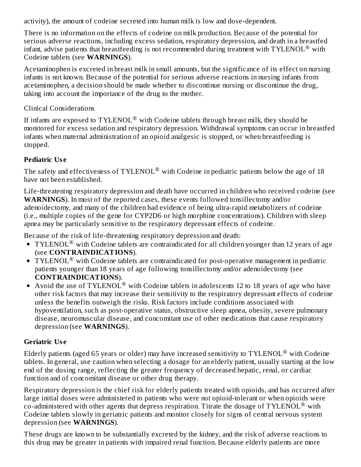activity), the amount of codeine secreted into human milk is low and dose-dependent.

There is no information on the effects of codeine on milk production. Because of the potential for serious adverse reactions, including excess sedation, respiratory depression, and death in a breastfed infant, advise patients that breastfeeding is not recommended during treatment with  $\text{TYLENOL}^{\circledR}$  with Codeine tablets (see **WARNINGS**).

Acetaminophen is excreted in breast milk in small amounts, but the significance of its effect on nursing infants is not known. Because of the potential for serious adverse reactions in nursing infants from acetaminophen, a decision should be made whether to discontinue nursing or discontinue the drug, taking into account the importance of the drug to the mother.

### Clinical Considerations

If infants are exposed to  $\text{TYLENOL}^{\circledR}$  with Codeine tablets through breast milk, they should be monitored for excess sedation and respiratory depression. Withdrawal symptoms can occur in breastfed infants when maternal administration of an opioid analgesic is stopped, or when breastfeeding is stopped.

### **Pediatric Us e**

The safety and effectiveness of  $\text{TYLENOL}^\circledR$  with Codeine in pediatric patients below the age of 18 have not been established.

Life-threatening respiratory depression and death have occurred in children who received codeine (see **WARNINGS**). In most of the reported cases, these events followed tonsillectomy and/or adenoidectomy, and many of the children had evidence of being ultra-rapid metabolizers of codeine (i.e., multiple copies of the gene for CYP2D6 or high morphine concentrations). Children with sleep apnea may be particularly sensitive to the respiratory depressant effects of codeine.

Because of the risk of life-threatening respiratory depression and death:

- $\text{TYLENOL}^{\circledR}$  with Codeine tablets are contraindicated for all children younger than 12 years of age (see **CONTRAINDICATIONS**).
- $\text{TYLENOL}^{\circledR}$  with Codeine tablets are contraindicated for post-operative management in pediatric patients younger than 18 years of age following tonsillectomy and/or adenoidectomy (see **CONTRAINDICATIONS**).
- Avoid the use of TYLENOL $^{\circledR}$  with Codeine tablets in adolescents 12 to 18 years of age who have other risk factors that may increase their sensitivity to the respiratory depressant effects of codeine unless the benefits outweigh the risks. Risk factors include conditions associated with hypoventilation, such as post-operative status, obstructive sleep apnea, obesity, severe pulmonary disease, neuromuscular disease, and concomitant use of other medications that cause respiratory depression (see **WARNINGS**).

### **Geriatric Us e**

Elderly patients (aged 65 years or older) may have increased sensitivity to  $\text{TYLENOL}^{\circledR}$  with Codeine tablets. In general, use caution when selecting a dosage for an elderly patient, usually starting at the low end of the dosing range, reflecting the greater frequency of decreased hepatic, renal, or cardiac function and of concomitant disease or other drug therapy.

Respiratory depression is the chief risk for elderly patients treated with opioids, and has occurred after large initial doses were administered to patients who were not opioid-tolerant or when opioids were co-administered with other agents that depress respiration. Titrate the dosage of TYLENOL<sup>®</sup> with Codeine tablets slowly in geriatric patients and monitor closely for signs of central nervous system depression (see **WARNINGS**).

These drugs are known to be substantially excreted by the kidney, and the risk of adverse reactions to this drug may be greater in patients with impaired renal function. Because elderly patients are more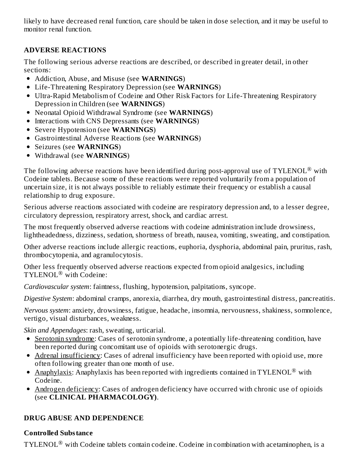likely to have decreased renal function, care should be taken in dose selection, and it may be useful to monitor renal function.

## **ADVERSE REACTIONS**

The following serious adverse reactions are described, or described in greater detail, in other sections:

- Addiction, Abuse, and Misuse (see **WARNINGS**)
- Life-Threatening Respiratory Depression (see **WARNINGS**)
- Ultra-Rapid Metabolism of Codeine and Other Risk Factors for Life-Threatening Respiratory Depression in Children (see **WARNINGS**)
- Neonatal Opioid Withdrawal Syndrome (see **WARNINGS**)
- Interactions with CNS Depressants (see **WARNINGS**)
- Severe Hypotension (see **WARNINGS**)
- Gastrointestinal Adverse Reactions (see **WARNINGS**)
- Seizures (see **WARNINGS**)
- Withdrawal (see **WARNINGS**)

The following adverse reactions have been identified during post-approval use of TYLENOL  $^\circledR$  with Codeine tablets. Because some of these reactions were reported voluntarily from a population of uncertain size, it is not always possible to reliably estimate their frequency or establish a causal relationship to drug exposure.

Serious adverse reactions associated with codeine are respiratory depression and, to a lesser degree, circulatory depression, respiratory arrest, shock, and cardiac arrest.

The most frequently observed adverse reactions with codeine administration include drowsiness, lightheadedness, dizziness, sedation, shortness of breath, nausea, vomiting, sweating, and constipation.

Other adverse reactions include allergic reactions, euphoria, dysphoria, abdominal pain, pruritus, rash, thrombocytopenia, and agranulocytosis.

Other less frequently observed adverse reactions expected from opioid analgesics, including TYLENOL<sup>®</sup> with Codeine:

*Cardiovascular system*: faintness, flushing, hypotension, palpitations, syncope.

*Digestive System*: abdominal cramps, anorexia, diarrhea, dry mouth, gastrointestinal distress, pancreatitis.

*Nervous system*: anxiety, drowsiness, fatigue, headache, insomnia, nervousness, shakiness, somnolence, vertigo, visual disturbances, weakness.

*Skin and Appendages*: rash, sweating, urticarial.

- Serotonin syndrome: Cases of serotonin syndrome, a potentially life-threatening condition, have been reported during concomitant use of opioids with serotonergic drugs.
- Adrenal insufficiency: Cases of adrenal insufficiency have been reported with opioid use, more often following greater than one month of use.
- Anaphylaxis: Anaphylaxis has been reported with ingredients contained in TYLENOL  $^\circledR$  with Codeine.
- Androgen deficiency: Cases of androgen deficiency have occurred with chronic use of opioids (see **CLINICAL PHARMACOLOGY)**.

## **DRUG ABUSE AND DEPENDENCE**

### **Controlled Substance**

 $\text{TYLENOL}^{\circledR}$  with Codeine tablets contain codeine. Codeine in combination with acetaminophen, is a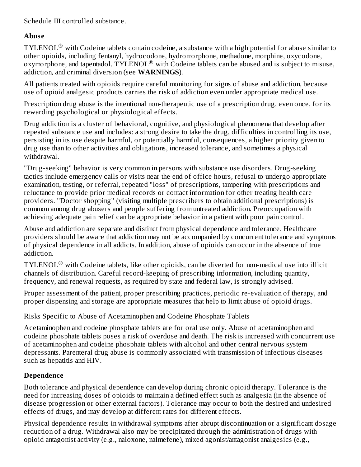Schedule III controlled substance.

### **Abus e**

 $\text{TYLENOL}^{\circledR}$  with Codeine tablets contain codeine, a substance with a high potential for abuse similar to other opioids, including fentanyl, hydrocodone, hydromorphone, methadone, morphine, oxycodone,  $\alpha$  oxymorphone, and tapentadol. TYLENOL<sup>®</sup> with Codeine tablets can be abused and is subject to misuse, addiction, and criminal diversion (see **WARNINGS**).

All patients treated with opioids require careful monitoring for signs of abuse and addiction, because use of opioid analgesic products carries the risk of addiction even under appropriate medical use.

Prescription drug abuse is the intentional non-therapeutic use of a prescription drug, even once, for its rewarding psychological or physiological effects.

Drug addiction is a cluster of behavioral, cognitive, and physiological phenomena that develop after repeated substance use and includes: a strong desire to take the drug, difficulties in controlling its use, persisting in its use despite harmful, or potentially harmful, consequences, a higher priority given to drug use than to other activities and obligations, increased tolerance, and sometimes a physical withdrawal.

"Drug-seeking" behavior is very common in persons with substance use disorders. Drug-seeking tactics include emergency calls or visits near the end of office hours, refusal to undergo appropriate examination, testing, or referral, repeated "loss" of prescriptions, tampering with prescriptions and reluctance to provide prior medical records or contact information for other treating health care providers. "Doctor shopping" (visiting multiple prescribers to obtain additional prescriptions) is common among drug abusers and people suffering from untreated addiction. Preoccupation with achieving adequate pain relief can be appropriate behavior in a patient with poor pain control.

Abuse and addiction are separate and distinct from physical dependence and tolerance. Healthcare providers should be aware that addiction may not be accompanied by concurrent tolerance and symptoms of physical dependence in all addicts. In addition, abuse of opioids can occur in the absence of true addiction.

TYLENOL $^{\circledR}$  with Codeine tablets, like other opioids, can be diverted for non-medical use into illicit channels of distribution. Careful record-keeping of prescribing information, including quantity, frequency, and renewal requests, as required by state and federal law, is strongly advised.

Proper assessment of the patient, proper prescribing practices, periodic re-evaluation of therapy, and proper dispensing and storage are appropriate measures that help to limit abuse of opioid drugs.

Risks Specific to Abuse of Acetaminophen and Codeine Phosphate Tablets

Acetaminophen and codeine phosphate tablets are for oral use only. Abuse of acetaminophen and codeine phosphate tablets poses a risk of overdose and death. The risk is increased with concurrent use of acetaminophen and codeine phosphate tablets with alcohol and other central nervous system depressants. Parenteral drug abuse is commonly associated with transmission of infectious diseases such as hepatitis and HIV.

## **Dependence**

Both tolerance and physical dependence can develop during chronic opioid therapy. Tolerance is the need for increasing doses of opioids to maintain a defined effect such as analgesia (in the absence of disease progression or other external factors). Tolerance may occur to both the desired and undesired effects of drugs, and may develop at different rates for different effects.

Physical dependence results in withdrawal symptoms after abrupt discontinuation or a significant dosage reduction of a drug. Withdrawal also may be precipitated through the administration of drugs with opioid antagonist activity (e.g., naloxone, nalmefene), mixed agonist/antagonist analgesics (e.g.,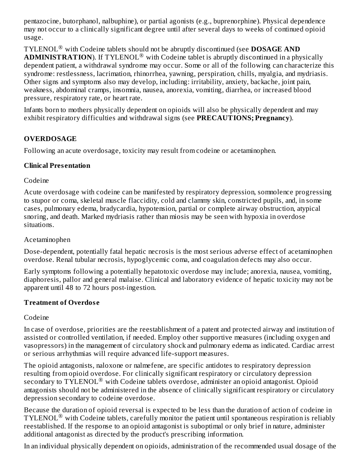pentazocine, butorphanol, nalbuphine), or partial agonists (e.g., buprenorphine). Physical dependence may not occur to a clinically significant degree until after several days to weeks of continued opioid usage.

<code>TYLENOL®</code> with Codeine tablets should not be abruptly discontinued (see <code>DOSAGE</code> AND ADMINISTRATION). If TYLENOL<sup>®</sup> with Codeine tablet is abruptly discontinued in a physically dependent patient, a withdrawal syndrome may occur. Some or all of the following can characterize this syndrome: restlessness, lacrimation, rhinorrhea, yawning, perspiration, chills, myalgia, and mydriasis. Other signs and symptoms also may develop, including: irritability, anxiety, backache, joint pain, weakness, abdominal cramps, insomnia, nausea, anorexia, vomiting, diarrhea, or increased blood pressure, respiratory rate, or heart rate.

Infants born to mothers physically dependent on opioids will also be physically dependent and may exhibit respiratory difficulties and withdrawal signs (see **PRECAUTIONS; Pregnancy**).

### **OVERDOSAGE**

Following an acute overdosage, toxicity may result from codeine or acetaminophen.

#### **Clinical Pres entation**

#### Codeine

Acute overdosage with codeine can be manifested by respiratory depression, somnolence progressing to stupor or coma, skeletal muscle flaccidity, cold and clammy skin, constricted pupils, and, in some cases, pulmonary edema, bradycardia, hypotension, partial or complete airway obstruction, atypical snoring, and death. Marked mydriasis rather than miosis may be seen with hypoxia in overdose situations.

#### Acetaminophen

Dose-dependent, potentially fatal hepatic necrosis is the most serious adverse effect of acetaminophen overdose. Renal tubular necrosis, hypoglycemic coma, and coagulation defects may also occur.

Early symptoms following a potentially hepatotoxic overdose may include; anorexia, nausea, vomiting, diaphoresis, pallor and general malaise. Clinical and laboratory evidence of hepatic toxicity may not be apparent until 48 to 72 hours post-ingestion.

#### **Treatment of Overdos e**

#### Codeine

In case of overdose, priorities are the reestablishment of a patent and protected airway and institution of assisted or controlled ventilation, if needed. Employ other supportive measures (including oxygen and vasopressors) in the management of circulatory shock and pulmonary edema as indicated. Cardiac arrest or serious arrhythmias will require advanced life-support measures.

The opioid antagonists, naloxone or nalmefene, are specific antidotes to respiratory depression resulting from opioid overdose. For clinically significant respiratory or circulatory depression secondary to  $\text{TYLENOL}^{\circledR}$  with Codeine tablets overdose, administer an opioid antagonist. Opioid antagonists should not be administered in the absence of clinically significant respiratory or circulatory depression secondary to codeine overdose.

Because the duration of opioid reversal is expected to be less than the duration of action of codeine in  $\text{TYLENOL}^{\circledR}$  with Codeine tablets, carefully monitor the patient until spontaneous respiration is reliably reestablished. If the response to an opioid antagonist is suboptimal or only brief in nature, administer additional antagonist as directed by the product's prescribing information.

In an individual physically dependent on opioids, administration of the recommended usual dosage of the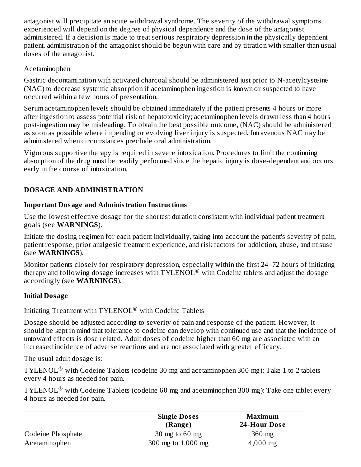antagonist will precipitate an acute withdrawal syndrome. The severity of the withdrawal symptoms experienced will depend on the degree of physical dependence and the dose of the antagonist administered. If a decision is made to treat serious respiratory depression in the physically dependent patient, administration of the antagonist should be begun with care and by titration with smaller than usual doses of the antagonist.

### Acetaminophen

Gastric decontamination with activated charcoal should be administered just prior to N-acetylcysteine (NAC) to decrease systemic absorption if acetaminophen ingestion is known or suspected to have occurred within a few hours of presentation.

Serum acetaminophen levels should be obtained immediately if the patient presents 4 hours or more after ingestion to assess potential risk of hepatotoxicity; acetaminophen levels drawn less than 4 hours post-ingestion may be misleading. To obtain the best possible outcome, (NAC) should be administered as soon as possible where impending or evolving liver injury is suspected*.* Intravenous NAC may be administered when circumstances preclude oral administration.

Vigorous supportive therapy is required in severe intoxication. Procedures to limit the continuing absorption of the drug must be readily performed since the hepatic injury is dose-dependent and occurs early in the course of intoxication.

## **DOSAGE AND ADMINISTRATION**

### **Important Dosage and Administration Instructions**

Use the lowest effective dosage for the shortest duration consistent with individual patient treatment goals (see **WARNINGS**).

Initiate the dosing regimen for each patient individually, taking into account the patient's severity of pain, patient response, prior analgesic treatment experience, and risk factors for addiction, abuse, and misuse (see **WARNINGS**).

Monitor patients closely for respiratory depression, especially within the first 24–72 hours of initiating therapy and following dosage increases with  $\text{TYLENOL}^{\circledR}$  with Codeine tablets and adjust the dosage accordingly (see **WARNINGS**).

## **Initial Dosage**

Initiating Treatment with  $\text{TYLENOL}^{\circledR}$  with Codeine Tablets

Dosage should be adjusted according to severity of pain and response of the patient. However, it should be kept in mind that tolerance to codeine can develop with continued use and that the incidence of untoward effects is dose related. Adult doses of codeine higher than 60 mg are associated with an increased incidence of adverse reactions and are not associated with greater efficacy.

The usual adult dosage is:

 $\text{TYLENOL}^{\circledR}$  with Codeine Tablets (codeine 30 mg and acetaminophen 300 mg): Take 1 to 2 tablets every 4 hours as needed for pain.

 $\text{TYLENOL}^{\circledR}$  with Codeine Tablets (codeine 60 mg and acetaminophen 300 mg): Take one tablet every 4 hours as needed for pain.

|                   | <b>Single Doses</b><br>(Range) | <b>Maximum</b><br>24-Hour Dose |
|-------------------|--------------------------------|--------------------------------|
| Codeine Phosphate | 30 mg to $60$ mg               | $360$ mg                       |
| Acetaminophen     | 300 mg to $1,000$ mg           | $4,000 \text{ mg}$             |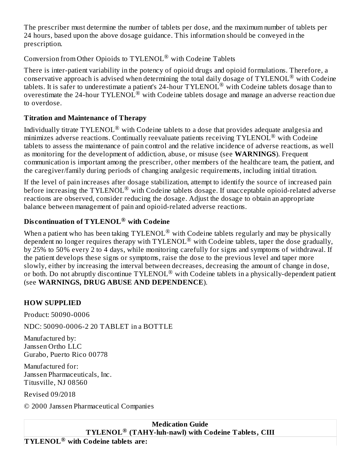The prescriber must determine the number of tablets per dose, and the maximum number of tablets per 24 hours, based upon the above dosage guidance. This information should be conveyed in the prescription.

Conversion from Other Opioids to  $\text{TYLENOL}^{\circledR}$  with Codeine Tablets

There is inter-patient variability in the potency of opioid drugs and opioid formulations. Therefore, a conservative approach is advised when determining the total daily dosage of TYLENOL<sup>®</sup> with Codeine tablets. It is safer to underestimate a patient's 24-hour  $\text{TYLENOL}^{\circledR}$  with Codeine tablets dosage than to overestimate the 24-hour  $\text{TYLENOL}^{\circledR}$  with Codeine tablets dosage and manage an adverse reaction due to overdose.

## **Titration and Maintenance of Therapy**

Individually titrate  $\text{TYLENOL}^{\circledR}$  with Codeine tablets to a dose that provides adequate analgesia and minimizes adverse reactions. Continually reevaluate patients receiving  $\text{TYLENOL}^{\textcircled{\tiny{\textregistered}} }$  with Codeine tablets to assess the maintenance of pain control and the relative incidence of adverse reactions, as well as monitoring for the development of addiction, abuse, or misuse (see **WARNINGS**). Frequent communication is important among the prescriber, other members of the healthcare team, the patient, and the caregiver/family during periods of changing analgesic requirements, including initial titration.

If the level of pain increases after dosage stabilization, attempt to identify the source of increased pain before increasing the  $\text{TYLENOL}^{\circledR}$  with Codeine tablets dosage. If unacceptable opioid-related adverse reactions are observed, consider reducing the dosage. Adjust the dosage to obtain an appropriate balance between management of pain and opioid-related adverse reactions.

# **Dis continuation of TYLENOL with Codeine ®**

When a patient who has been taking  $\text{TYLENOL}^\circledR$  with Codeine tablets regularly and may be physically dependent no longer requires therapy with  $\text{TYLENOL}^{\circledR}$  with Codeine tablets, taper the dose gradually, by 25% to 50% every 2 to 4 days, while monitoring carefully for signs and symptoms of withdrawal. If the patient develops these signs or symptoms, raise the dose to the previous level and taper more slowly, either by increasing the interval between decreases, decreasing the amount of change in dose, or both. Do not abruptly discontinue  $\text{TYLENOL}^{\circledR}$  with Codeine tablets in a physically-dependent patient (see **WARNINGS, DRUG ABUSE AND DEPENDENCE**).

# **HOW SUPPLIED**

Product: 50090-0006

NDC: 50090-0006-2 20 TABLET in a BOTTLE

Manufactured by: Janssen Ortho LLC Gurabo, Puerto Rico 00778

Manufactured for: Janssen Pharmaceuticals, Inc. Titusville, NJ 08560

Revised 09/2018

© 2000 Janssen Pharmaceutical Companies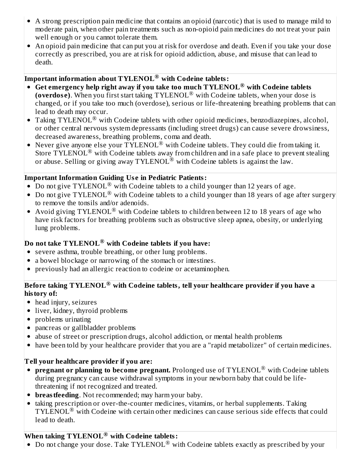- A strong prescription pain medicine that contains an opioid (narcotic) that is used to manage mild to moderate pain, when other pain treatments such as non-opioid pain medicines do not treat your pain well enough or you cannot tolerate them.
- An opioid pain medicine that can put you at risk for overdose and death. Even if you take your dose correctly as prescribed, you are at risk for opioid addiction, abuse, and misuse that can lead to death.

### **Important information about TYLENOL with Codeine tablets: ®**

- **Get emergency help right away if you take too much TYLENOL with Codeine tablets ® (overdose)**. When you first start taking TYLENOL<sup>®</sup> with Codeine tablets, when your dose is changed, or if you take too much (overdose), serious or life-threatening breathing problems that can lead to death may occur.
- Taking  $\text{TYLENOL}^{\circledR}$  with Codeine tablets with other opioid medicines, benzodiazepines, alcohol, or other central nervous system depressants (including street drugs) can cause severe drowsiness, decreased awareness, breathing problems, coma and death.
- Never give anyone else your  $\text{TYLENOL}^{\circledR}$  with Codeine tablets. They could die from taking it. Store  $\text{TYLENOL}^{\circledR}$  with Codeine tablets away from children and in a safe place to prevent stealing or abuse. Selling or giving away  $\text{TYLENOL}^{\circledR}$  with Codeine tablets is against the law.

## **Important Information Guiding Us e in Pediatric Patients:**

- Do not give  $\text{TYLENOL}^{\circledR}$  with Codeine tablets to a child younger than 12 years of age.
- Do not give  $\text{TYLENOL}^{\circledR}$  with Codeine tablets to a child younger than 18 years of age after surgery to remove the tonsils and/or adenoids.
- Avoid giving  $\text{TYLENOL}^{\circledR}$  with Codeine tablets to children between 12 to 18 years of age who have risk factors for breathing problems such as obstructive sleep apnea, obesity, or underlying lung problems.

## **Do not take TYLENOL with Codeine tablets if you have: ®**

- severe asthma, trouble breathing, or other lung problems.
- a bowel blockage or narrowing of the stomach or intestines.
- previously had an allergic reaction to codeine or acetaminophen.

#### **Before taking TYLENOL with Codeine tablets, tell your healthcare provider if you have a ® history of:**

- head injury, seizures
- liver, kidney, thyroid problems
- problems urinating
- pancreas or gallbladder problems
- abuse of street or prescription drugs, alcohol addiction, or mental health problems
- have been told by your healthcare provider that you are a "rapid metabolizer" of certain medicines.

### **Tell your healthcare provider if you are:**

- **pregnant or planning to become pregnant.** Prolonged use of TYLENOL with Codeine tablets ® during pregnancy can cause withdrawal symptoms in your newborn baby that could be lifethreatening if not recognized and treated.
- **breastfeeding**. Not recommended; may harm your baby.
- taking prescription or over-the-counter medicines, vitamins, or herbal supplements. Taking TYLENOL<sup>®</sup> with Codeine with certain other medicines can cause serious side effects that could lead to death.

### **When taking TYLENOL with Codeine tablets: ®**

Do not change your dose. Take  $\text{TYLENOL}^{\circledR}$  with Codeine tablets exactly as prescribed by your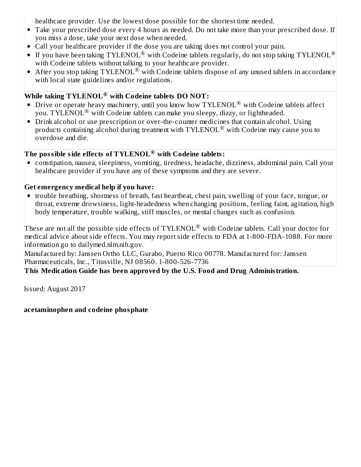healthcare provider. Use the lowest dose possible for the shortest time needed.

- Take your prescribed dose every 4 hours as needed. Do not take more than your prescribed dose. If you miss a dose, take your next dose when needed.
- Call your healthcare provider if the dose you are taking does not control your pain.
- If you have been taking  $\text{TYLENOL}^\circledR$  with Codeine tablets regularly, do not stop taking  $\text{TYLENOL}^\circledR|$ with Codeine tablets without talking to your healthcare provider.
- After you stop taking  $\text{TYLENOL}^{\circledR}$  with Codeine tablets dispose of any unused tablets in accordance with local state guidelines and/or regulations.

### **While taking TYLENOL with Codeine tablets DO NOT: ®**

- Drive or operate heavy machinery, until you know how  $\text{TYLENOL}^{\circledR}$  with Codeine tablets affect you.  $\text{TYLENOL}^{\circledR}$  with Codeine tablets can make you sleepy, dizzy, or lightheaded.
- Drink alcohol or use prescription or over-the-counter medicines that contain alcohol. Using products containing alcohol during treatment with  $\text{TYLENOL}^{\circledR}$  with Codeine may cause you to overdose and die.

### **The possible side effects of TYLENOL with Codeine tablets: ®**

constipation, nausea, sleepiness, vomiting, tiredness, headache, dizziness, abdominal pain. Call your healthcare provider if you have any of these symptoms and they are severe.

#### **Get emergency medical help if you have:**

• trouble breathing, shortness of breath, fast heartbeat, chest pain, swelling of your face, tongue, or throat, extreme drowsiness, light-headedness when changing positions, feeling faint, agitation, high body temperature, trouble walking, stiff muscles, or mental changes such as confusion.

These are not all the possible side effects of  $\text{TYLENOL}^{\circledR}$  with Codeine tablets. Call your doctor for medical advice about side effects. You may report side effects to FDA at 1-800-FDA-1088. For more information go to dailymed.nlm.nih.gov.

Manufactured by: Janssen Ortho LLC, Gurabo, Puerto Rico 00778. Manufactured for: Janssen Pharmaceuticals, Inc., Titusville, NJ 08560. 1-800-526-7736

**This Medication Guide has been approved by the U.S. Food and Drug Administration.**

Issued: August 2017

**acetaminophen and codeine phosphate**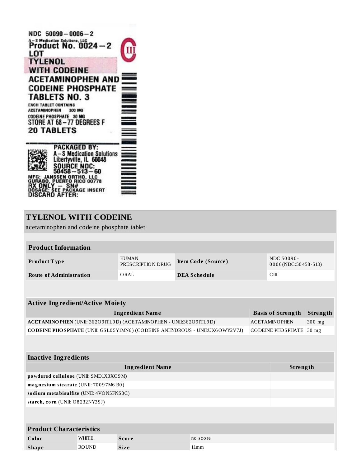| NDC 50090-0006-2                                           |  |
|------------------------------------------------------------|--|
| A-S Medication Solutions, LLC<br><b>Product No. 0024-2</b> |  |
| LOT                                                        |  |
| <b>TYLENOL</b>                                             |  |
| <b>WITH CODEINE</b>                                        |  |
| <b>ACETAMINOPHEN AND</b>                                   |  |
| <b>CODEINE PHOSPHATE</b>                                   |  |
| <b>TABLETS NO. 3</b>                                       |  |
| <b><i>EACH TABLET CONTAIL</i></b>                          |  |
| <b>АСЕТАМИМОРНЕМ</b><br><b>CODEINE PHOSPHATE</b><br>30 MG  |  |
| STORE AT 68-77 DEGREES F                                   |  |
| <b>20 TABLETS</b>                                          |  |
|                                                            |  |
| <b>PACKAGED BY:</b>                                        |  |
| A-S Medication Solutions<br>Libertyville, IL 60048         |  |
| SOURCE NDC:                                                |  |
| 8–513–60                                                   |  |
| CO 00778                                                   |  |
| GE INSERT                                                  |  |

| <b>TYLENOL WITH CODEINE</b><br>acetaminophen and codeine phosphate tablet                                          |                                                         |              |                     |                                   |                          |          |
|--------------------------------------------------------------------------------------------------------------------|---------------------------------------------------------|--------------|---------------------|-----------------------------------|--------------------------|----------|
|                                                                                                                    |                                                         |              |                     |                                   |                          |          |
| <b>Product Information</b>                                                                                         |                                                         |              |                     |                                   |                          |          |
| Product Type                                                                                                       | <b>HUMAN</b><br>Item Code (Source)<br>PRESCRIPTION DRUG |              |                     | NDC:50090-<br>0006(NDC:50458-513) |                          |          |
| <b>Route of Administration</b>                                                                                     |                                                         | ORAL         | <b>DEA Schedule</b> |                                   | C <sub>III</sub>         |          |
|                                                                                                                    |                                                         |              |                     |                                   |                          |          |
|                                                                                                                    |                                                         |              |                     |                                   |                          |          |
| <b>Active Ingredient/Active Moiety</b>                                                                             |                                                         |              |                     |                                   |                          |          |
| <b>Ingredient Name</b>                                                                                             |                                                         |              |                     |                                   | <b>Basis of Strength</b> | Strength |
| ACETAMINO PHEN (UNII: 36209 ITL9D) (ACETAMINO PHEN - UNII:36209 ITL9D)                                             |                                                         |              |                     |                                   | <b>ACETAMINOPHEN</b>     | 300 mg   |
| CODEINE PHO SPHATE (UNII: GSL05Y1MN6) (CODEINE ANHYDROUS - UNII:UX6OWY2V7J)<br><b>CODEINE PHOSPHATE</b><br>$30$ mg |                                                         |              |                     |                                   |                          |          |
|                                                                                                                    |                                                         |              |                     |                                   |                          |          |
|                                                                                                                    |                                                         |              |                     |                                   |                          |          |
| <b>Inactive Ingredients</b>                                                                                        |                                                         |              |                     |                                   |                          |          |
| <b>Ingredient Name</b>                                                                                             |                                                         |              |                     | Strength                          |                          |          |
|                                                                                                                    | powdered cellulose (UNII: SMD1X3XO9M)                   |              |                     |                                   |                          |          |
| magnesium stearate (UNII: 70097M6I30)                                                                              |                                                         |              |                     |                                   |                          |          |
| sodium metabisulfite (UNII: 4VON5FNS3C)                                                                            |                                                         |              |                     |                                   |                          |          |
| starch, corn (UNII: O8232NY3SJ)                                                                                    |                                                         |              |                     |                                   |                          |          |
|                                                                                                                    |                                                         |              |                     |                                   |                          |          |
|                                                                                                                    |                                                         |              |                     |                                   |                          |          |
| <b>Product Characteristics</b>                                                                                     |                                                         |              |                     |                                   |                          |          |
| Color                                                                                                              | <b>WHITE</b>                                            | <b>Score</b> | no score            |                                   |                          |          |
| <b>Shape</b>                                                                                                       | <b>ROUND</b>                                            | <b>Size</b>  | 11mm                |                                   |                          |          |